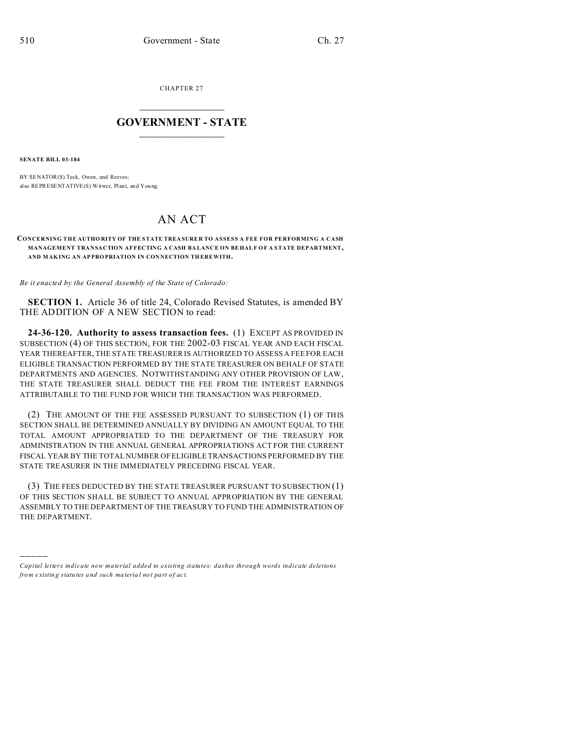CHAPTER 27  $\overline{\phantom{a}}$  , where  $\overline{\phantom{a}}$ 

### **GOVERNMENT - STATE**  $\_$   $\_$

**SENATE BILL 03-184**

)))))

BY SENATOR(S) Teck, Owen, and Reeves; also REPRESENTATIVE(S) Witwer, Plant, and You ng.

# AN ACT

#### **CONCERNING THE AUTHO RITY OF THE STATE TREA SURE R TO ASSESS A FEE FOR PERFORMING A CASH MANAGEMENT TRANSACTION AFFECTING A CASH BA LANC E ON BE HALF OF A STATE DEPARTMENT, AND MAK ING AN AP PRO PRIATION IN CON NECTION TH EREWITH.**

*Be it enacted by the General Assembly of the State of Colorado:*

**SECTION 1.** Article 36 of title 24, Colorado Revised Statutes, is amended BY THE ADDITION OF A NEW SECTION to read:

**24-36-120. Authority to assess transaction fees.** (1) EXCEPT AS PROVIDED IN SUBSECTION (4) OF THIS SECTION, FOR THE 2002-03 FISCAL YEAR AND EACH FISCAL YEAR THEREAFTER, THE STATE TREASURER IS AUTHORIZED TO ASSESS A FEE FOR EACH ELIGIBLE TRANSACTION PERFORMED BY THE STATE TREASURER ON BEHALF OF STATE DEPARTMENTS AND AGENCIES. NOTWITHSTANDING ANY OTHER PROVISION OF LAW, THE STATE TREASURER SHALL DEDUCT THE FEE FROM THE INTEREST EARNINGS ATTRIBUTABLE TO THE FUND FOR WHICH THE TRANSACTION WAS PERFORMED.

(2) THE AMOUNT OF THE FEE ASSESSED PURSUANT TO SUBSECTION (1) OF THIS SECTION SHALL BE DETERMINED ANNUALLY BY DIVIDING AN AMOUNT EQUAL TO THE TOTAL AMOUNT APPROPRIATED TO THE DEPARTMENT OF THE TREASURY FOR ADMINISTRATION IN THE ANNUAL GENERAL APPROPRIATIONS ACT FOR THE CURRENT FISCAL YEAR BY THE TOTAL NUMBER OF ELIGIBLE TRANSACTIONS PERFORMED BY THE STATE TREASURER IN THE IMMEDIATELY PRECEDING FISCAL YEAR.

(3) THE FEES DEDUCTED BY THE STATE TREASURER PURSUANT TO SUBSECTION (1) OF THIS SECTION SHALL BE SUBJECT TO ANNUAL APPROPRIATION BY THE GENERAL ASSEMBLY TO THE DEPARTMENT OF THE TREASURY TO FUND THE ADMINISTRATION OF THE DEPARTMENT.

*Capital letters indicate new material added to existing statutes; dashes through words indicate deletions from e xistin g statu tes a nd such ma teria l no t pa rt of ac t.*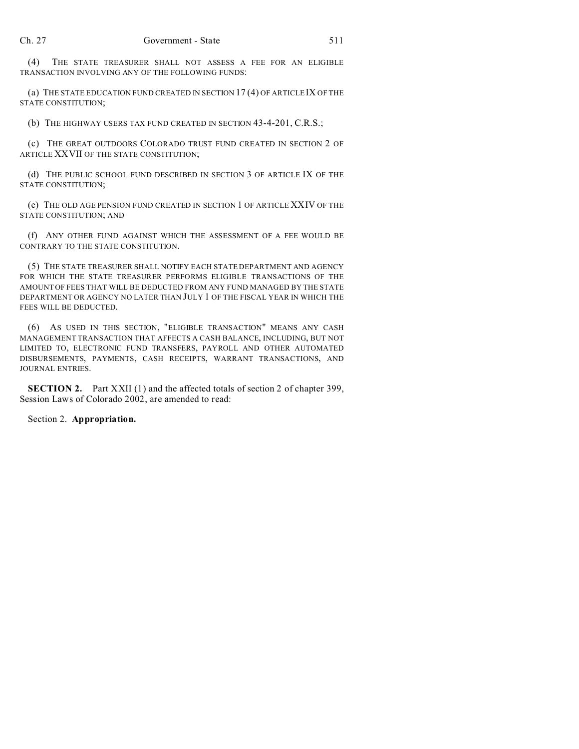(4) THE STATE TREASURER SHALL NOT ASSESS A FEE FOR AN ELIGIBLE TRANSACTION INVOLVING ANY OF THE FOLLOWING FUNDS:

(a) THE STATE EDUCATION FUND CREATED IN SECTION 17 (4) OF ARTICLE IX OF THE STATE CONSTITUTION;

(b) THE HIGHWAY USERS TAX FUND CREATED IN SECTION 43-4-201, C.R.S.;

(c) THE GREAT OUTDOORS COLORADO TRUST FUND CREATED IN SECTION 2 OF ARTICLE XXVII OF THE STATE CONSTITUTION;

(d) THE PUBLIC SCHOOL FUND DESCRIBED IN SECTION 3 OF ARTICLE IX OF THE STATE CONSTITUTION;

(e) THE OLD AGE PENSION FUND CREATED IN SECTION 1 OF ARTICLE XXIV OF THE STATE CONSTITUTION; AND

(f) ANY OTHER FUND AGAINST WHICH THE ASSESSMENT OF A FEE WOULD BE CONTRARY TO THE STATE CONSTITUTION.

(5) THE STATE TREASURER SHALL NOTIFY EACH STATE DEPARTMENT AND AGENCY FOR WHICH THE STATE TREASURER PERFORMS ELIGIBLE TRANSACTIONS OF THE AMOUNT OF FEES THAT WILL BE DEDUCTED FROM ANY FUND MANAGED BY THE STATE DEPARTMENT OR AGENCY NO LATER THAN JULY 1 OF THE FISCAL YEAR IN WHICH THE FEES WILL BE DEDUCTED.

(6) AS USED IN THIS SECTION, "ELIGIBLE TRANSACTION" MEANS ANY CASH MANAGEMENT TRANSACTION THAT AFFECTS A CASH BALANCE, INCLUDING, BUT NOT LIMITED TO, ELECTRONIC FUND TRANSFERS, PAYROLL AND OTHER AUTOMATED DISBURSEMENTS, PAYMENTS, CASH RECEIPTS, WARRANT TRANSACTIONS, AND JOURNAL ENTRIES.

**SECTION 2.** Part XXII (1) and the affected totals of section 2 of chapter 399, Session Laws of Colorado 2002, are amended to read:

Section 2. **Appropriation.**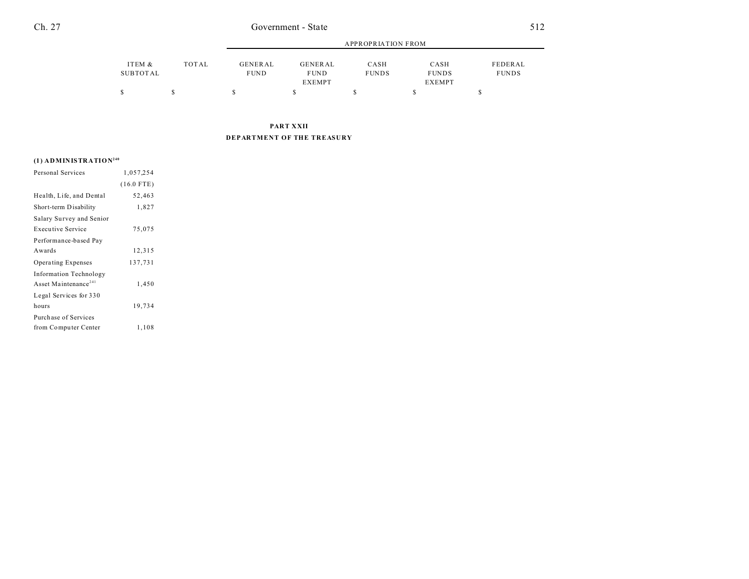|                    |       |                        | APPROPRIATION FROM     |                      |                      |                         |  |
|--------------------|-------|------------------------|------------------------|----------------------|----------------------|-------------------------|--|
| ITEM &<br>SUBTOTAL | TOTAL | GENERAL<br><b>FUND</b> | GENERAL<br><b>FUND</b> | CASH<br><b>FUNDS</b> | CASH<br><b>FUNDS</b> | FEDERAL<br><b>FUNDS</b> |  |
|                    |       |                        | <b>EXEMPT</b>          |                      | <b>EXEMPT</b>        |                         |  |
|                    |       |                        |                        |                      |                      |                         |  |

**PART XXII DEPARTMENT OF THE TREASURY**

## **(1) ADMINISTRATION<sup>240</sup>**

| Personal Services                | 1,057,254    |  |
|----------------------------------|--------------|--|
|                                  | $(16.0$ FTE) |  |
| Health, Life, and Dental         | 52,463       |  |
| Short-term Disability            | 1,827        |  |
| Salary Survey and Senior         |              |  |
| <b>Executive Service</b>         | 75,075       |  |
| Performance-based Pay            |              |  |
| Awards                           | 12,315       |  |
| Operating Expenses               | 137,731      |  |
| <b>Information Technology</b>    |              |  |
| Asset Maintenance <sup>241</sup> | 1,450        |  |
| Legal Services for 330           |              |  |
| hours                            | 19,734       |  |
| Purchase of Services             |              |  |
| from Computer Center             | 1,108        |  |
|                                  |              |  |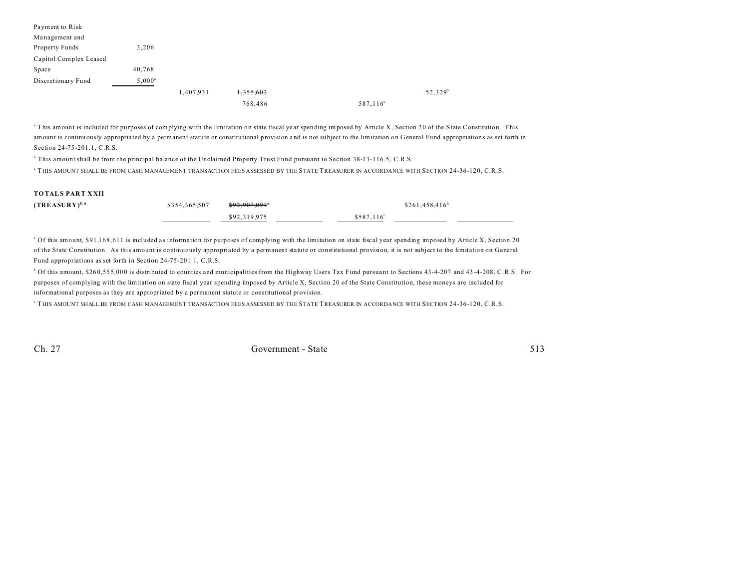| Payment to Risk        |           |           |           |                   |            |
|------------------------|-----------|-----------|-----------|-------------------|------------|
| Management and         |           |           |           |                   |            |
| Property Funds         | 3,206     |           |           |                   |            |
| Capitol Complex Leased |           |           |           |                   |            |
| Space                  | 40,768    |           |           |                   |            |
| Discretionary Fund     | $5,000^a$ |           |           |                   |            |
|                        |           | 1,407,931 | 1,355,602 |                   | $52,329^b$ |
|                        |           |           | 768,486   | $587,116^{\circ}$ |            |

<sup>a</sup> This amount is included for purposes of complying with the limitation on state fiscal year spending imposed by Article X, Section 20 of the State Constitution. This amount is continuously appropria ted by a permanent statute or constitu tional provision a nd is not su bject to the limitation on General Fund appropriations as set forth in Section 24-75-201.1, C.R.S.

b This amount shall be from the principal balance of the Unclaimed Property Trust Fund pursuant to Section 38-13-116.5, C.R.S.

c THIS AMOUNT SHALL BE FROM CASH MANAGEMENT TRANSACTION FEES ASSESSED BY THE STATE TREASURER IN ACCORDANCE WITH SECTION 24-36-120, C.R.S.

#### **TOTALS PART XXII**

| $(TREASURY)^{5,6}$ | \$354,365,507 | \$92.907.091° |                    |  |
|--------------------|---------------|---------------|--------------------|--|
|                    |               | \$92,319,975  | $$587.116^{\circ}$ |  |

<sup>a</sup> Of this amount, \$91,168,611 is included as information for purposes of complying with the limitation on state fiscal year spending imposed by Article X, Section 20 of the State Constitution. As this amount is continuously appropriated by a permanent statute or constitutional provision, it is not subject to the limitation on General Fund appropriations as set forth in Section 24-75-201.1, C.R.S.

<sup>b</sup> Of this amount, \$260,555,000 is distributed to counties and municipalities from the Highway Users Tax Fund pursuant to Sections 43-4-207 and 43-4-208, C.R.S. For purposes of complying with the limitation on state fiscal year spending imposed by Article X, Section 20 of the State Constitution, these moneys are included for informational purposes as they are appropriated by a permanent statute or constitutional provision.

c THIS AMOUNT SHALL BE FROM CASH MANAGEMENT TRANSACTION FEES ASSESSED BY THE STATE TREASURER IN ACCORDANCE WITH SECTION 24-36-120, C.R.S.

Ch. 27 Government - State 513